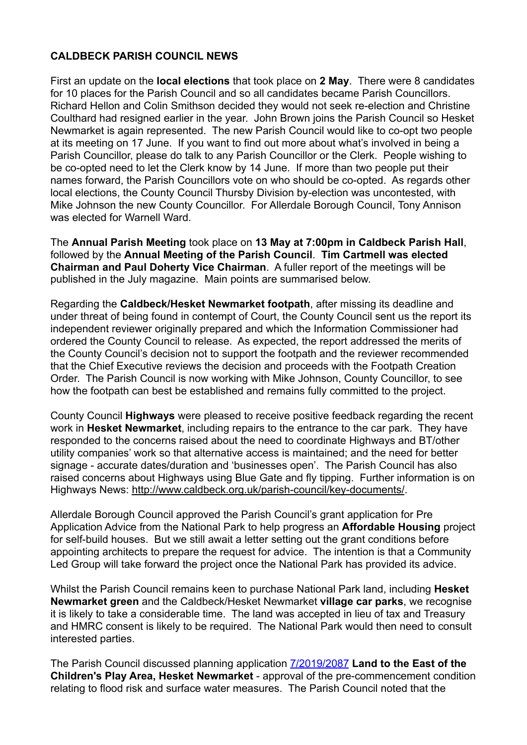## **CALDBECK PARISH COUNCIL NEWS**

First an update on the **local elections** that took place on **2 May**. There were 8 candidates for 10 places for the Parish Council and so all candidates became Parish Councillors. Richard Hellon and Colin Smithson decided they would not seek re-election and Christine Coulthard had resigned earlier in the year. John Brown joins the Parish Council so Hesket Newmarket is again represented. The new Parish Council would like to co-opt two people at its meeting on 17 June. If you want to find out more about what's involved in being a Parish Councillor, please do talk to any Parish Councillor or the Clerk. People wishing to be co-opted need to let the Clerk know by 14 June. If more than two people put their names forward, the Parish Councillors vote on who should be co-opted. As regards other local elections, the County Council Thursby Division by-election was uncontested, with Mike Johnson the new County Councillor. For Allerdale Borough Council, Tony Annison was elected for Warnell Ward.

The **Annual Parish Meeting** took place on **13 May at 7:00pm in Caldbeck Parish Hall**, followed by the **Annual Meeting of the Parish Council**. **Tim Cartmell was elected Chairman and Paul Doherty Vice Chairman**. A fuller report of the meetings will be published in the July magazine. Main points are summarised below.

Regarding the **Caldbeck/Hesket Newmarket footpath**, after missing its deadline and under threat of being found in contempt of Court, the County Council sent us the report its independent reviewer originally prepared and which the Information Commissioner had ordered the County Council to release. As expected, the report addressed the merits of the County Council's decision not to support the footpath and the reviewer recommended that the Chief Executive reviews the decision and proceeds with the Footpath Creation Order. The Parish Council is now working with Mike Johnson, County Councillor, to see how the footpath can best be established and remains fully committed to the project.

County Council **Highways** were pleased to receive positive feedback regarding the recent work in **Hesket Newmarket**, including repairs to the entrance to the car park. They have responded to the concerns raised about the need to coordinate Highways and BT/other utility companies' work so that alternative access is maintained; and the need for better signage - accurate dates/duration and 'businesses open'. The Parish Council has also raised concerns about Highways using Blue Gate and fly tipping. Further information is on Highways News:<http://www.caldbeck.org.uk/parish-council/key-documents/>.

Allerdale Borough Council approved the Parish Council's grant application for Pre Application Advice from the National Park to help progress an **Affordable Housing** project for self-build houses. But we still await a letter setting out the grant conditions before appointing architects to prepare the request for advice. The intention is that a Community Led Group will take forward the project once the National Park has provided its advice.

Whilst the Parish Council remains keen to purchase National Park land, including **Hesket Newmarket green** and the Caldbeck/Hesket Newmarket **village car parks**, we recognise it is likely to take a considerable time. The land was accepted in lieu of tax and Treasury and HMRC consent is likely to be required. The National Park would then need to consult interested parties.

The Parish Council discussed planning application [7/2019/2087](http://www.lakedistrict.gov.uk/swiftlg/apas/run/WPHAPPDETAIL.DisplayUrl?theApnID=7/2019/2087&backURL=%25253Ca%252520href%25253Dwphappcriteria.display%25253FpaSearchKey%25253D939936%25253ESearch%252520Criteria%25253C%25252Fa%25253E%2520%253E%2520%253Ca%2520href%253D%2527wphappsearchres.displayResultsURL%253FResultID%253D1815691%252526StartIndex%253D1%252526SortOrder%253Drgndat%253Adesc%252526DispResultsAs%253DWPHAPPSEARCHRES%252526BackURL%253D%25253Ca%252520href%25253Dwphappcriteria.display%25253FpaSearchKey%25253D939936%25253ESearch%252520Criteria%25253C%25252Fa%25253E%2527%253ESearch%2520Results%253C%252Fa%253E) **Land to the East of the Children's Play Area, Hesket Newmarket** - approval of the pre-commencement condition relating to flood risk and surface water measures. The Parish Council noted that the